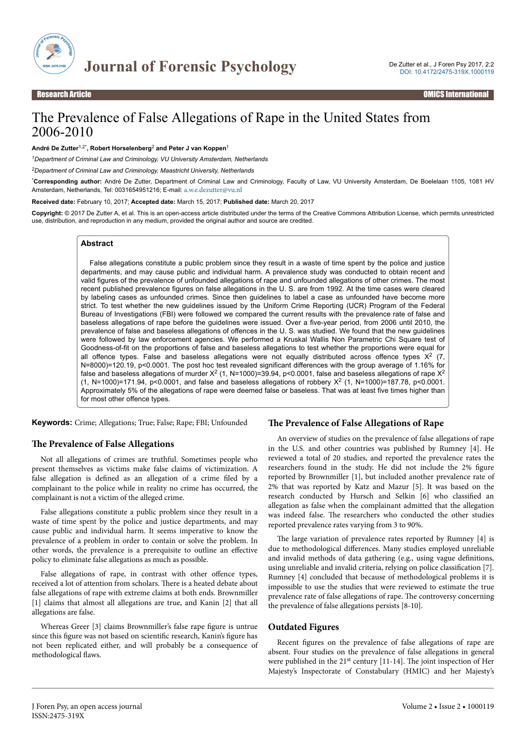

# The Prevalence of False Allegations of Rape in the United States from 2006-2010

**André De Zutter**1,2\***, Robert Horselenberg**<sup>2</sup>  **and Peter J van Koppen**<sup>1</sup>

*<sup>1</sup>Department of Criminal Law and Criminology, VU University Amsterdam, Netherlands*

*<sup>2</sup>Department of Criminal Law and Criminology, Maastricht University, Netherlands*

\***Corresponding author:** André De Zutter, Department of Criminal Law and Criminology, Faculty of Law, VU University Amsterdam, De Boelelaan 1105, 1081 HV Amsterdam, Netherlands, Tel: 0031654951216; E-mail: [a.w.e.dezutter@vu.nl](mailto:a.w.e.dezutter@vu.nl)

**Received date:** February 10, 2017; **Accepted date:** March 15, 2017; **Published date:** March 20, 2017

**Copyright:** © 2017 De Zutter A, et al. This is an open-access article distributed under the terms of the Creative Commons Attribution License, which permits unrestricted use, distribution, and reproduction in any medium, provided the original author and source are credited.

### **Abstract**

False allegations constitute a public problem since they result in a waste of time spent by the police and justice departments, and may cause public and individual harm. A prevalence study was conducted to obtain recent and valid figures of the prevalence of unfounded allegations of rape and unfounded allegations of other crimes. The most recent published prevalence figures on false allegations in the U. S. are from 1992. At the time cases were cleared by labeling cases as unfounded crimes. Since then guidelines to label a case as unfounded have become more strict. To test whether the new guidelines issued by the Uniform Crime Reporting (UCR) Program of the Federal Bureau of Investigations (FBI) were followed we compared the current results with the prevalence rate of false and baseless allegations of rape before the guidelines were issued. Over a five-year period, from 2006 until 2010, the prevalence of false and baseless allegations of offences in the U. S. was studied. We found that the new guidelines were followed by law enforcement agencies. We performed a Kruskal Wallis Non Parametric Chi Square test of Goodness-of-fit on the proportions of false and baseless allegations to test whether the proportions were equal for all offence types. False and baseless allegations were not equally distributed across offence types  $X^2$  (7, N=8000)=120.19, p<0.0001. The post hoc test revealed significant differences with the group average of 1.16% for false and baseless allegations of murder X<sup>2</sup> (1, N=1000)=39.94, p<0.0001, false and baseless allegations of rape X<sup>2</sup> (1, N=1000)=171.94, p<0.0001, and false and baseless allegations of robbery  $X^2$  (1, N=1000)=187.78, p<0.0001. Approximately 5% of the allegations of rape were deemed false or baseless. That was at least five times higher than for most other offence types.

**Keywords:** Crime; Allegations; True; False; Rape; FBI; Unfounded

# **The Prevalence of False Allegations**

Not all allegations of crimes are truthful. Sometimes people who present themselves as victims make false claims of victimization. A false allegation is defined as an allegation of a crime filed by a complainant to the police while in reality no crime has occurred, the complainant is not a victim of the alleged crime.

False allegations constitute a public problem since they result in a waste of time spent by the police and justice departments, and may cause public and individual harm. It seems imperative to know the prevalence of a problem in order to contain or solve the problem. In other words, the prevalence is a prerequisite to outline an effective policy to eliminate false allegations as much as possible.

False allegations of rape, in contrast with other offence types, received a lot of attention from scholars. Нere is a heated debate about false allegations of rape with extreme claims at both ends. Brownmiller [1] claims that almost all allegations are true, and Kanin [2] that all allegations are false.

Whereas Greer [3] claims Brownmiller's false rape figure is untrue since this figure was not based on scientific research, Kanin's figure has not been replicated either, and will probably be a consequence of methodological flaws.

### **The Prevalence of False Allegations of Rape**

An overview of studies on the prevalence of false allegations of rape in the U.S. and other countries was published by Rumney [4]. He reviewed a total of 20 studies, and reported the prevalence rates the researchers found in the study. He did not include the 2% figure reported by Brownmiller [1], but included another prevalence rate of 2% that was reported by Katz and Mazur [5]. It was based on the research conducted by Hursch and Selkin [6] who classified an allegation as false when the complainant admitted that the allegation was indeed false. Нe researchers who conducted the other studies reported prevalence rates varying from 3 to 90%.

The large variation of prevalence rates reported by Rumney [4] is due to methodological differences. Many studies employed unreliable and invalid methods of data gathering (e.g., using vague definitions, using unreliable and invalid criteria, relying on police classification [7]. Rumney [4] concluded that because of methodological problems it is impossible to use the studies that were reviewed to estimate the true prevalence rate of false allegations of rape. Нe controversy concerning the prevalence of false allegations persists [8-10].

### **Outdated Figures**

Recent figures on the prevalence of false allegations of rape are absent. Four studies on the prevalence of false allegations in general were published in the 21<sup>st</sup> century [11-14]. The joint inspection of Her Majesty's Inspectorate of Constabulary (HMIC) and her Majesty's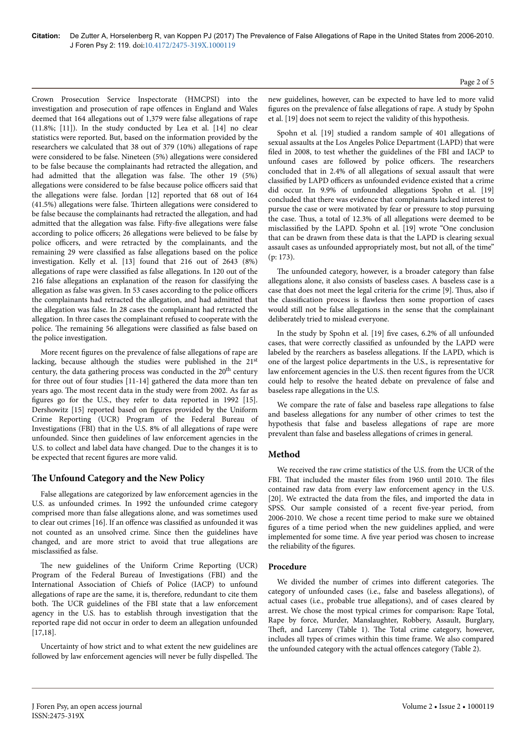Crown Prosecution Service Inspectorate (HMCPSI) into the investigation and prosecution of rape offences in England and Wales deemed that 164 allegations out of 1,379 were false allegations of rape (11.8%; [11]). In the study conducted by Lea et al. [14] no clear statistics were reported. But, based on the information provided by the researchers we calculated that 38 out of 379 (10%) allegations of rape were considered to be false. Nineteen (5%) allegations were considered to be false because the complainants had retracted the allegation, and had admitted that the allegation was false. The other 19 (5%) allegations were considered to be false because police officers said that the allegations were false. Jordan [12] reported that 68 out of 164 (41.5%) allegations were false. Нirteen allegations were considered to be false because the complainants had retracted the allegation, and had admitted that the allegation was false. Fifty-five allegations were false according to police officers; 26 allegations were believed to be false by police officers, and were retracted by the complainants, and the remaining 29 were classified as false allegations based on the police investigation. Kelly et al. [13] found that 216 out of 2643 (8%) allegations of rape were classified as false allegations. In 120 out of the 216 false allegations an explanation of the reason for classifying the allegation as false was given. In 53 cases according to the police officers the complainants had retracted the allegation, and had admitted that the allegation was false. In 28 cases the complainant had retracted the allegation. In three cases the complainant refused to cooperate with the police. The remaining 56 allegations were classified as false based on the police investigation.

More recent figures on the prevalence of false allegations of rape are lacking, because although the studies were published in the 21st century, the data gathering process was conducted in the 20<sup>th</sup> century for three out of four studies [11-14] gathered the data more than ten years ago. Нe most recent data in the study were from 2002. As far as figures go for the U.S., they refer to data reported in 1992 [15]. Dershowitz [15] reported based on figures provided by the Uniform Crime Reporting (UCR) Program of the Federal Bureau of Investigations (FBI) that in the U.S. 8% of all allegations of rape were unfounded. Since then guidelines of law enforcement agencies in the U.S. to collect and label data have changed. Due to the changes it is to be expected that recent figures are more valid.

### **The Unfound Category and the New Policy**

False allegations are categorized by law enforcement agencies in the U.S. as unfounded crimes. In 1992 the unfounded crime category comprised more than false allegations alone, and was sometimes used to clear out crimes [16]. If an offence was classified as unfounded it was not counted as an unsolved crime. Since then the guidelines have changed, and are more strict to avoid that true allegations are misclassified as false.

The new guidelines of the Uniform Crime Reporting (UCR) Program of the Federal Bureau of Investigations (FBI) and the International Association of Chiefs of Police (IACP) to unfound allegations of rape are the same, it is, therefore, redundant to cite them both. Нe UCR guidelines of the FBI state that a law enforcement agency in the U.S. has to establish through investigation that the reported rape did not occur in order to deem an allegation unfounded [17,18].

Uncertainty of how strict and to what extent the new guidelines are followed by law enforcement agencies will never be fully dispelled. Нe

new guidelines, however, can be expected to have led to more valid figures on the prevalence of false allegations of rape. A study by Spohn et al. [19] does not seem to reject the validity of this hypothesis.

Spohn et al. [19] studied a random sample of 401 allegations of sexual assaults at the Los Angeles Police Department (LAPD) that were filed in 2008, to test whether the guidelines of the FBI and IACP to unfound cases are followed by police officers. The researchers concluded that in 2.4% of all allegations of sexual assault that were classified by LAPD officers as unfounded evidence existed that a crime did occur. In 9.9% of unfounded allegations Spohn et al. [19] concluded that there was evidence that complainants lacked interest to pursue the case or were motivated by fear or pressure to stop pursuing the case. Нus, a total of 12.3% of all allegations were deemed to be misclassified by the LAPD. Spohn et al. [19] wrote "One conclusion that can be drawn from these data is that the LAPD is clearing sexual assault cases as unfounded appropriately most, but not all, of the time" (p: 173).

The unfounded category, however, is a broader category than false allegations alone, it also consists of baseless cases. A baseless case is a case that does not meet the legal criteria for the crime [9]. Нus, also if the classification process is flawless then some proportion of cases would still not be false allegations in the sense that the complainant deliberately tried to mislead everyone.

In the study by Spohn et al. [19] five cases, 6.2% of all unfounded cases, that were correctly classified as unfounded by the LAPD were labeled by the rearchers as baseless allegations. If the LAPD, which is one of the largest police departments in the U.S., is representative for law enforcement agencies in the U.S. then recent figures from the UCR could help to resolve the heated debate on prevalence of false and baseless rape allegations in the U.S.

We compare the rate of false and baseless rape allegations to false and baseless allegations for any number of other crimes to test the hypothesis that false and baseless allegations of rape are more prevalent than false and baseless allegations of crimes in general.

# **Method**

We received the raw crime statistics of the U.S. from the UCR of the FBI. That included the master files from 1960 until 2010. The files contained raw data from every law enforcement agency in the U.S. [20]. We extracted the data from the files, and imported the data in SPSS. Our sample consisted of a recent five-year period, from 2006-2010. We chose a recent time period to make sure we obtained figures of a time period when the new guidelines applied, and were implemented for some time. A five year period was chosen to increase the reliability of the figures.

### **Procedure**

We divided the number of crimes into different categories. The category of unfounded cases (i.e., false and baseless allegations), of actual cases (i.e., probable true allegations), and of cases cleared by arrest. We chose the most typical crimes for comparison: Rape Total, Rape by force, Murder, Manslaughter, Robbery, Assault, Burglary, Theft, and Larceny (Table 1). The Total crime category, however, includes all types of crimes within this time frame. We also compared the unfounded category with the actual offences category (Table 2).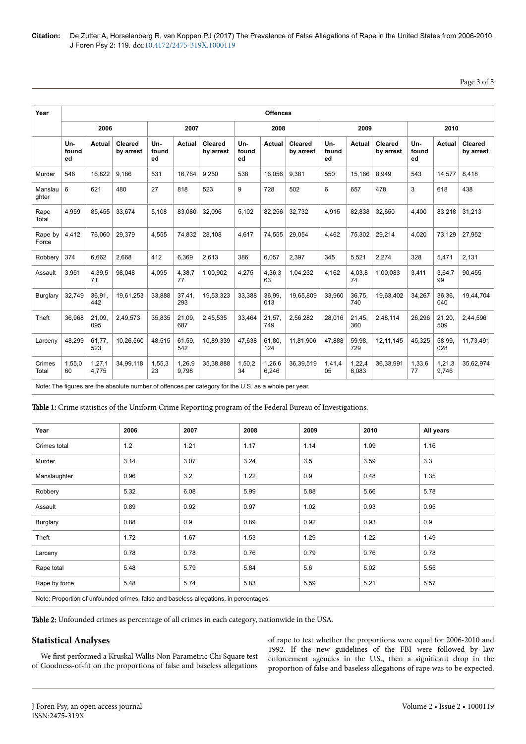# Page 3 of 5

| Year             | <b>Offences</b>    |                 |                      |                    |                 |                      |                    |                 |                      |                    |                 |                      |                    |                 |                      |
|------------------|--------------------|-----------------|----------------------|--------------------|-----------------|----------------------|--------------------|-----------------|----------------------|--------------------|-----------------|----------------------|--------------------|-----------------|----------------------|
|                  | 2006               |                 |                      | 2007               |                 |                      | 2008               |                 |                      | 2009               |                 |                      | 2010               |                 |                      |
|                  | Un-<br>found<br>ed | Actual          | Cleared<br>by arrest | Un-<br>found<br>ed | <b>Actual</b>   | Cleared<br>by arrest | Un-<br>found<br>ed | <b>Actual</b>   | Cleared<br>by arrest | Un-<br>found<br>ed | <b>Actual</b>   | Cleared<br>by arrest | Un-<br>found<br>ed | <b>Actual</b>   | Cleared<br>by arrest |
| Murder           | 546                | 16.822          | 9.186                | 531                | 16.764          | 9.250                | 538                | 16.056          | 9,381                | 550                | 15.166          | 8.949                | 543                | 14,577          | 8,418                |
| Manslau<br>ghter | 6                  | 621             | 480                  | 27                 | 818             | 523                  | 9                  | 728             | 502                  | 6                  | 657             | 478                  | 3                  | 618             | 438                  |
| Rape<br>Total    | 4,959              | 85,455          | 33,674               | 5,108              | 83,080          | 32,096               | 5,102              | 82,256          | 32,732               | 4,915              | 82,838          | 32,650               | 4,400              | 83,218          | 31,213               |
| Rape by<br>Force | 4,412              | 76.060          | 29,379               | 4,555              | 74,832          | 28,108               | 4,617              | 74,555          | 29,054               | 4,462              | 75,302          | 29,214               | 4,020              | 73,129          | 27,952               |
| Robbery          | 374                | 6,662           | 2,668                | 412                | 6,369           | 2,613                | 386                | 6,057           | 2,397                | 345                | 5,521           | 2,274                | 328                | 5,471           | 2,131                |
| Assault          | 3,951              | 4,39,5<br>71    | 98,048               | 4,095              | 4,38,7<br>77    | 1,00,902             | 4,275              | 4,36,3<br>63    | 1,04,232             | 4,162              | 4,03,8<br>74    | 1,00,083             | 3,411              | 3,64,7<br>99    | 90,455               |
| Burglary         | 32,749             | 36,91,<br>442   | 19,61,253            | 33,888             | 37,41,<br>293   | 19,53,323            | 33,388             | 36,99,<br>013   | 19,65,809            | 33,960             | 36,75,<br>740   | 19,63,402            | 34,267             | 36,36,<br>040   | 19,44,704            |
| Theft            | 36,968             | 21,09,<br>095   | 2,49,573             | 35,835             | 21,09.<br>687   | 2,45,535             | 33,464             | 21,57,<br>749   | 2,56,282             | 28,016             | 21,45,<br>360   | 2,48,114             | 26.296             | 21,20,<br>509   | 2,44,596             |
| Larceny          | 48,299             | 61,77,<br>523   | 10.26.560            | 48,515             | 61.59.<br>542   | 10.89.339            | 47.638             | 61.80.<br>124   | 11.81.906            | 47,888             | 59,98,<br>729   | 12.11.145            | 45,325             | 58,99,<br>028   | 11,73,491            |
| Crimes<br>Total  | 1,55,0<br>60       | 1,27,1<br>4.775 | 34,99,118            | 1,55,3<br>23       | 1,26,9<br>9,798 | 35,38,888            | 1,50,2<br>34       | 1,26,6<br>6,246 | 36,39,519            | 1,41,4<br>05       | 1,22,4<br>8,083 | 36,33,991            | 1,33,6<br>77       | 1,21,3<br>9,746 | 35,62,974            |

Note: The figures are the absolute number of offences per category for the U.S. as a whole per year.

Table 1: Crime statistics of the Uniform Crime Reporting program of the Federal Bureau of Investigations.

| Year                                                                                  | 2006  | 2007 | 2008 | 2009 | 2010 | All years |  |  |  |
|---------------------------------------------------------------------------------------|-------|------|------|------|------|-----------|--|--|--|
| Crimes total                                                                          | $1.2$ | 1.21 | 1.17 | 1.14 | 1.09 | 1.16      |  |  |  |
| Murder                                                                                | 3.14  | 3.07 | 3.24 | 3.5  | 3.59 | 3.3       |  |  |  |
| Manslaughter                                                                          | 0.96  | 3.2  | 1.22 | 0.9  | 0.48 | 1.35      |  |  |  |
| Robbery                                                                               | 5.32  | 6.08 | 5.99 | 5.88 | 5.66 | 5.78      |  |  |  |
| Assault                                                                               | 0.89  | 0.92 | 0.97 | 1.02 | 0.93 | 0.95      |  |  |  |
| Burglary                                                                              | 0.88  | 0.9  | 0.89 | 0.92 | 0.93 | 0.9       |  |  |  |
| Theft                                                                                 | 1.72  | 1.67 | 1.53 | 1.29 | 1.22 | 1.49      |  |  |  |
| Larceny                                                                               | 0.78  | 0.78 | 0.76 | 0.79 | 0.76 | 0.78      |  |  |  |
| Rape total                                                                            | 5.48  | 5.79 | 5.84 | 5.6  | 5.02 | 5.55      |  |  |  |
| Rape by force                                                                         | 5.48  | 5.74 | 5.83 | 5.59 | 5.21 | 5.57      |  |  |  |
| Note: Proportion of unfounded crimes, false and baseless allegations, in percentages. |       |      |      |      |      |           |  |  |  |

Table 2: Unfounded crimes as percentage of all crimes in each category, nationwide in the USA.

# **Statistical Analyses**

We first performed a Kruskal Wallis Non Parametric Chi Square test of Goodness-of-fit on the proportions of false and baseless allegations

of rape to test whether the proportions were equal for 2006-2010 and 1992. If the new guidelines of the FBI were followed by law enforcement agencies in the U.S., then a significant drop in the proportion of false and baseless allegations of rape was to be expected.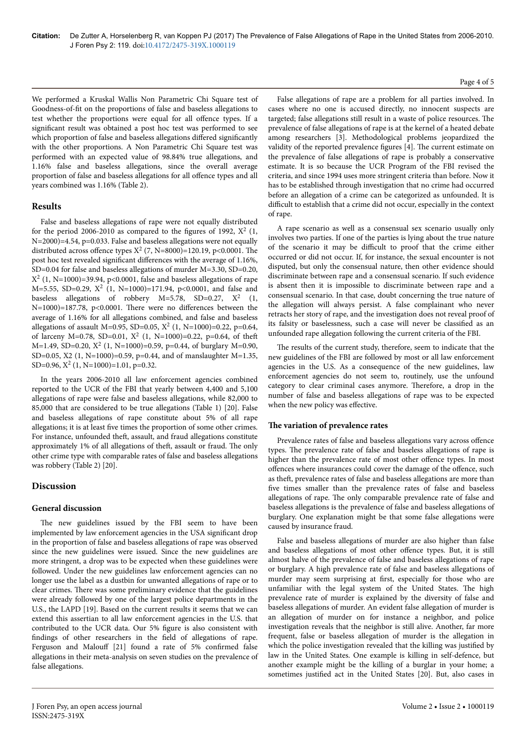We performed a Kruskal Wallis Non Parametric Chi Square test of Goodness-of-fit on the proportions of false and baseless allegations to test whether the proportions were equal for all offence types. If a significant result was obtained a post hoc test was performed to see which proportion of false and baseless allegations differed significantly with the other proportions. A Non Parametric Chi Square test was performed with an expected value of 98.84% true allegations, and 1.16% false and baseless allegations, since the overall average proportion of false and baseless allegations for all offence types and all years combined was 1.16% (Table 2).

#### **Results**

False and baseless allegations of rape were not equally distributed for the period 2006-2010 as compared to the figures of 1992,  $X^2$  (1, N=2000)=4.54, p=0.033. False and baseless allegations were not equally distributed across offence types  $X^2$  (7, N=8000)=120.19, p<0.0001. The post hoc test revealed significant differences with the average of 1.16%, SD=0.04 for false and baseless allegations of murder M=3.30, SD=0.20,  $X^2$  (1, N=1000)=39.94, p<0.0001, false and baseless allegations of rape M=5.55, SD=0.29,  $X^2$  (1, N=1000)=171.94, p<0.0001, and false and baseless allegations of robbery  $M=5.78$ , SD=0.27,  $X^2$  (1,  $N=1000$ )=187.78, p<0.0001. There were no differences between the average of 1.16% for all allegations combined, and false and baseless allegations of assault M=0.95, SD=0.05,  $X^2$  (1, N=1000)=0.22, p=0.64, of larceny M=0.78, SD=0.01,  $X^2$  (1, N=1000)=0.22, p=0.64, of theft  $M=1.49$ , SD=0.20,  $X^2$  (1, N=1000)=0.59, p=0.44, of burglary M=0.90, SD=0.05, X2 (1, N=1000)=0.59, p=0.44, and of manslaughter M=1.35,  $SD=0.96$ ,  $X^2$  (1, N=1000)=1.01, p=0.32.

In the years 2006-2010 all law enforcement agencies combined reported to the UCR of the FBI that yearly between 4,400 and 5,100 allegations of rape were false and baseless allegations, while 82,000 to 85,000 that are considered to be true allegations (Table 1) [20]. False and baseless allegations of rape constitute about 5% of all rape allegations; it is at least five times the proportion of some other crimes. For instance, unfounded theft, assault, and fraud allegations constitute approximately 1% of all allegations of theft, assault or fraud. The only other crime type with comparable rates of false and baseless allegations was robbery (Table 2) [20].

### **Discussion**

#### **General discussion**

The new guidelines issued by the FBI seem to have been implemented by law enforcement agencies in the USA significant drop in the proportion of false and baseless allegations of rape was observed since the new guidelines were issued. Since the new guidelines are more stringent, a drop was to be expected when these guidelines were followed. Under the new guidelines law enforcement agencies can no longer use the label as a dustbin for unwanted allegations of rape or to clear crimes. Нere was some preliminary evidence that the guidelines were already followed by one of the largest police departments in the U.S., the LAPD [19]. Based on the current results it seems that we can extend this assertian to all law enforcement agencies in the U.S. that contributed to the UCR data. Our 5% figure is also consistent with findings of other researchers in the field of allegations of rape. Ferguson and Malouff [21] found a rate of 5% confirmed false allegations in their meta-analysis on seven studies on the prevalence of false allegations.

False allegations of rape are a problem for all parties involved. In cases where no one is accused directly, no innocent suspects are targeted; false allegations still result in a waste of police resources. Нe prevalence of false allegations of rape is at the kernel of a heated debate among researchers [3]. Methodological problems jeopardized the validity of the reported prevalence figures [4]. Нe current estimate on the prevalence of false allegations of rape is probably a conservative estimate. It is so because the UCR Program of the FBI revised the criteria, and since 1994 uses more stringent criteria than before. Now it has to be established through investigation that no crime had occurred before an allegation of a crime can be categorized as unfounded. It is difficult to establish that a crime did not occur, especially in the context of rape.

A rape scenario as well as a consensual sex scenario usually only involves two parties. If one of the parties is lying about the true nature of the scenario it may be difficult to proof that the crime either occurred or did not occur. If, for instance, the sexual encounter is not disputed, but only the consensual nature, then other evidence should discriminate between rape and a consensual scenario. If such evidence is absent then it is impossible to discriminate between rape and a consensual scenario. In that case, doubt concerning the true nature of the allegation will always persist. A false complainant who never retracts her story of rape, and the investigation does not reveal proof of its falsity or baselessness, such a case will never be classified as an unfounded rape allegation following the current criteria of the FBI.

The results of the current study, therefore, seem to indicate that the new guidelines of the FBI are followed by most or all law enforcement agencies in the U.S. As a consequence of the new guidelines, law enforcement agencies do not seem to, routinely, use the unfound category to clear criminal cases anymore. Нerefore, a drop in the number of false and baseless allegations of rape was to be expected when the new policy was effective.

#### **The variation of prevalence rates**

Prevalence rates of false and baseless allegations vary across offence types. Нe prevalence rate of false and baseless allegations of rape is higher than the prevalence rate of most other offence types. In most offences where insurances could cover the damage of the offence, such as theft, prevalence rates of false and baseless allegations are more than five times smaller than the prevalence rates of false and baseless allegations of rape. Нe only comparable prevalence rate of false and baseless allegations is the prevalence of false and baseless allegations of burglary. One explanation might be that some false allegations were caused by insurance fraud.

False and baseless allegations of murder are also higher than false and baseless allegations of most other offence types. But, it is still almost halve of the prevalence of false and baseless allegations of rape or burglary. A high prevalence rate of false and baseless allegations of murder may seem surprising at first, especially for those who are unfamiliar with the legal system of the United States. Нe high prevalence rate of murder is explained by the diversity of false and baseless allegations of murder. An evident false allegation of murder is an allegation of murder on for instance a neighbor, and police investigation reveals that the neighbor is still alive. Another, far more frequent, false or baseless allegation of murder is the allegation in which the police investigation revealed that the killing was justified by law in the United States. One example is killing in self-defence, but another example might be the killing of a burglar in your home; a sometimes justified act in the United States [20]. But, also cases in